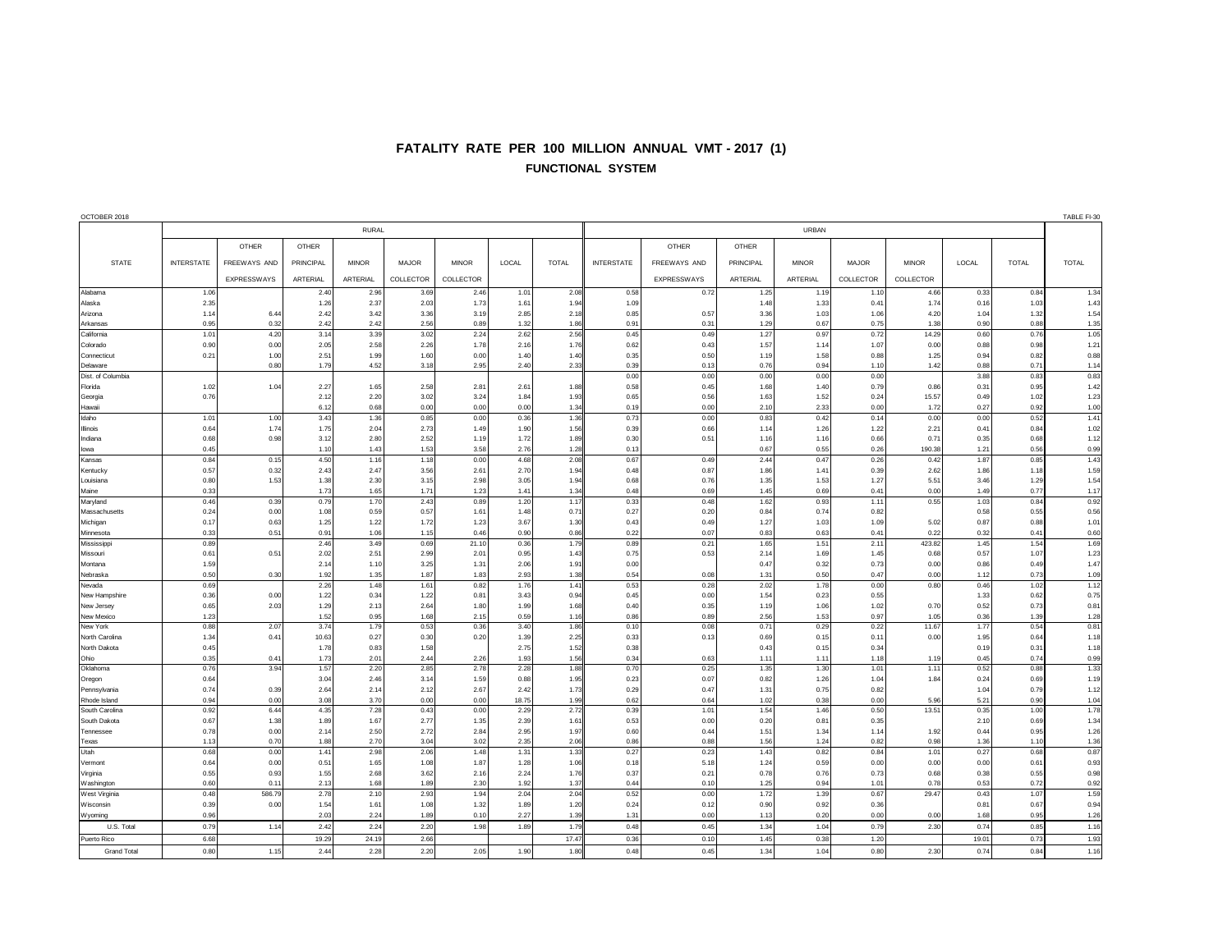## **FATALITY RATE PER 100 MILLION ANNUAL VMT - 2017 (1) FUNCTIONAL SYSTEM**

| OCTOBER 2018                   |                   |                    |                  |              |              |              |               |              |                   |                    |                 |              |              |               |              |              | TABLE FI-30  |
|--------------------------------|-------------------|--------------------|------------------|--------------|--------------|--------------|---------------|--------------|-------------------|--------------------|-----------------|--------------|--------------|---------------|--------------|--------------|--------------|
|                                | <b>RURAL</b>      |                    |                  |              |              |              |               |              | URBAN             |                    |                 |              |              |               |              |              |              |
|                                |                   | OTHER              | OTHER            |              |              |              |               |              |                   | <b>OTHER</b>       | OTHER           |              |              |               |              |              |              |
| <b>STATE</b>                   | <b>INTERSTATE</b> | FREEWAYS AND       | <b>PRINCIPAL</b> | <b>MINOR</b> | <b>MAJOR</b> | <b>MINOR</b> | LOCAL         | <b>TOTAL</b> | <b>INTERSTATE</b> | FREEWAYS AND       | PRINCIPAL       | <b>MINOR</b> | <b>MAJOR</b> | <b>MINOR</b>  | LOCAL        | <b>TOTAL</b> | <b>TOTAL</b> |
|                                |                   | <b>EXPRESSWAYS</b> | ARTERIAL         | ARTERIAL     | COLLECTOR    | COLLECTOR    |               |              |                   | <b>EXPRESSWAYS</b> | <b>ARTERIAL</b> | ARTERIAL     | COLLECTOR    | COLLECTOR     |              |              |              |
| Alabama                        | 1.06              |                    | 2.40             | 2.96         | 3.69         | 2.46         | 1.01          | 2.08         | 0.58              | 0.72               | 1.25            | 1.19         | 1.10         | 4.66          | 0.33         | 0.84         | 1.34         |
| Alaska                         | 2.35              |                    | 1.26             | 2.37         | 2.03         | 1.73         | 1.61          | 1.94         | 1.09              |                    | 1.48            | 1.33         | 0.41         | 1.74          | 0.16         | 1.03         | 1.43         |
| Arizona                        | 1.14              | 6.44               | 2.42             | 3.42         | 3.36         | 3.19         | 2.85          | 2.18         | 0.85              | 0.57               | 3.36            | 1.03         | 1.06         | 4.20          | 1.04         | 1.32         | 1.54         |
| Arkansas                       | 0.95              | 0.32               | 2.42             | 2.42         | 2.56         | 0.89         | 1.32          | 1.86         | 0.91              | 0.31               | 1.29            | 0.67         | 0.75         | 1.38          | 0.90         | 0.88         | 1.35         |
| California                     | 1.01              | 4.20               | 3.14             | 3.39         | 3.02         | 2.24         | 2.62          | 2.56         | 0.45              | 0.49               | 1.27            | 0.97         | 0.72         | 14.29         | 0.60         | 0.76         | 1.05         |
| Colorado<br>Connecticut        | 0.90<br>0.21      | 0.00<br>1.00       | 2.05<br>2.51     | 2.58<br>1.99 | 2.26<br>1.60 | 1.78<br>0.00 | 2.16<br>1.40  | 1.76<br>1.40 | 0.62<br>0.35      | 0.43<br>0.50       | 1.57<br>1.19    | 1.14<br>1.58 | 1.07<br>0.88 | 0.00<br>1.25  | 0.88<br>0.94 | 0.98<br>0.82 | 1.21<br>0.88 |
| Delaware                       |                   | 0.80               | 1.79             | 4.52         | 3.18         | 2.95         | 2.40          | 2.33         | 0.39              | 0.13               | 0.76            | 0.94         | 1.10         | 1.42          | 0.88         | 0.71         | 1.14         |
| Dist. of Columbia              |                   |                    |                  |              |              |              |               |              | 0.00              | 0.00               | 0.00            | 0.00         | 0.00         |               | 3.88         | 0.83         | 0.83         |
| Florida                        | 1.02              | 1.04               | 2.27             | 1.65         | 2.58         | 2.81         | 2.61          | 1.88         | 0.58              | 0.45               | 1.68            | 1.40         | 0.79         | 0.86          | 0.31         | 0.95         | 1.42         |
| Georgia                        | 0.76              |                    | 2.12             | 2.20         | 3.02         | 3.24         | 1.84          | 1.93         | 0.65              | 0.56               | 1.63            | 1.52         | 0.24         | 15.57         | 0.49         | 1.02         | 1.23         |
| Hawaii                         | 1.01              | 1.00               | 6.12<br>3.43     | 0.68<br>1.36 | 0.00<br>0.85 | 0.00         | 0.00<br>0.36  | 1.34<br>1.36 | 0.19<br>0.73      | 0.00<br>0.00       | 2.10<br>0.83    | 2.33<br>0.42 | 0.00<br>0.14 | 1.72<br>0.00  | 0.27         | 0.92<br>0.52 | 1.00<br>1.41 |
| Idaho<br>Illinois              | 0.64              | 1.74               | 1.75             | 2.04         | 2.73         | 0.00<br>1.49 | 1.90          | 1.56         | 0.39              | 0.66               | 1.14            | 1.26         | 1.22         | 2.21          | 0.00<br>0.41 | 0.84         | 1.02         |
| Indiana                        | 0.68              | 0.98               | 3.12             | 2.80         | 2.52         | 1.19         | 1.72          | 1.89         | 0.30              | 0.51               | 1.16            | 1.16         | 0.66         | 0.71          | 0.35         | 0.68         | 1.12         |
| lowa                           | 0.45              |                    | 1.10             | 1.43         | 1.53         | 3.58         | 2.76          | 1.28         | 0.13              |                    | 0.67            | 0.55         | 0.26         | 190.38        | 1.21         | 0.56         | 0.99         |
| Kansas                         | 0.84              | 0.15               | 4.50             | 1.16         | 1.18         | 0.00         | 4.68          | 2.08         | 0.67              | 0.49               | 2.44            | 0.47         | 0.26         | 0.42          | 1.87         | 0.85         | 1.43         |
| Kentucky                       | 0.57              | 0.32               | 2.43             | 2.47         | 3.56         | 2.61         | 2.70          | 1.94         | 0.48              | 0.87               | 1.86            | 1.41         | 0.39         | 2.62          | 1.86         | 1.18         | 1.59         |
| Louisiana                      | 0.80              | 1.53               | 1.38             | 2.30         | 3.15         | 2.98         | 3.05          | 1.94         | 0.68              | 0.76               | 1.35            | 1.53         | 1.27         | 5.51          | 3.46         | 1.29         | 1.54         |
| Maine<br>Maryland              | 0.33<br>0.46      | 0.39               | 1.73<br>0.79     | 1.65<br>1.70 | 1.71<br>2.43 | 1.23<br>0.89 | 1.41<br>1.20  | 1.34<br>1.17 | 0.48<br>0.33      | 0.69<br>0.48       | 1.45<br>1.62    | 0.69<br>0.93 | 0.41<br>1.11 | 0.00<br>0.55  | 1.49<br>1.03 | 0.77<br>0.84 | 1.17<br>0.92 |
| Massachusetts                  | 0.24              | 0.00               | 1.08             | 0.59         | 0.57         | 1.61         | 1.48          | 0.71         | 0.27              | 0.20               | 0.84            | 0.74         | 0.82         |               | 0.58         | 0.55         | 0.56         |
| Michigan                       | 0.17              | 0.63               | 1.25             | 1.22         | 1.72         | 1.23         | 3.67          | 1.30         | 0.43              | 0.49               | 1.27            | 1.03         | 1.09         | 5.02          | 0.87         | 0.88         | 1.01         |
| Minnesota                      | 0.33              | 0.51               | 0.91             | 1.06         | 1.15         | 0.46         | 0.90          | 0.86         | 0.22              | 0.07               | 0.83            | 0.63         | 0.41         | 0.22          | 0.32         | 0.41         | 0.60         |
| Mississipp                     | 0.89              |                    | 2.46             | 3.49         | 0.69         | 21.10        | 0.36          | 1.79         | 0.89              | 0.21               | 1.65            | 1.51         | 2.11         | 423.82        | 1.45         | 1.54         | 1.69         |
| Missouri<br>Montana            | 0.61              | 0.51               | 2.02             | 2.51         | 2.99         | 2.01         | 0.95          | 1.43         | 0.75              | 0.53               | 2.14            | 1.69         | 1.45         | 0.68          | 0.57         | 1.07         | 1.23         |
| Nebraska                       | 1.59<br>0.50      | 0.30               | 2.14<br>1.92     | 1.10<br>1.35 | 3.25<br>1.87 | 1.31<br>1.83 | 2.06<br>2.93  | 1.91<br>1.38 | 0.00<br>0.54      | 0.08               | 0.47<br>1.31    | 0.32<br>0.50 | 0.73<br>0.47 | 0.00<br>0.00  | 0.86<br>1.12 | 0.49<br>0.73 | 1.47<br>1.09 |
| Nevada                         | 0.69              |                    | 2.26             | 1.48         | 1.61         | 0.82         | 1.76          | 1.41         | 0.53              | 0.28               | 2.02            | 1.78         | 0.00         | 0.80          | 0.46         | 1.02         | 1.12         |
| New Hampshire                  | 0.36              | 0.00               | 1.22             | 0.34         | 1.22         | 0.81         | 3.43          | 0.94         | 0.45              | 0.00               | 1.54            | 0.23         | 0.55         |               | 1.33         | 0.62         | 0.75         |
| New Jersey                     | 0.65              | 2.03               | 1.29             | 2.13         | 2.64         | 1.80         | 1.99          | 1.68         | 0.40              | 0.35               | 1.19            | 1.06         | 1.02         | 0.70          | 0.52         | 0.73         | 0.81         |
| New Mexico                     | 1.23              |                    | 1.52             | 0.95         | 1.68         | 2.15         | 0.59          | 1.16         | 0.86              | 0.89               | 2.56            | 1.53         | 0.97         | 1.05          | 0.36         | 1.39         | 1.28         |
| New York                       | 0.88              | 2.07<br>0.41       | 3.74<br>10.63    | 1.79         | 0.53<br>0.30 | 0.36         | 3.40          | 1.86<br>2.25 | 0.10<br>0.33      | 0.08<br>0.13       | 0.71<br>0.69    | 0.29<br>0.15 | 0.22<br>0.11 | 11.67<br>0.00 | 1.77<br>1.95 | 0.54<br>0.64 | 0.81<br>1.18 |
| North Carolina<br>North Dakota | 1.34<br>0.45      |                    | 1.78             | 0.27<br>0.83 | 1.58         | 0.20         | 1.39<br>2.75  | 1.52         | 0.38              |                    | 0.43            | 0.15         | 0.34         |               | 0.19         | 0.31         | 1.18         |
| Ohio                           | 0.35              | 0.41               | 1.73             | 2.01         | 2.44         | 2.26         | 1.93          | 1.56         | 0.34              | 0.63               | 1.11            | 1.11         | 1.18         | 1.19          | 0.45         | 0.74         | 0.99         |
| Oklahoma                       | 0.76              | 3.94               | 1.57             | 2.20         | 2.85         | 2.78         | 2.28          | 1.88         | 0.70              | 0.25               | 1.35            | 1.30         | 1.01         | 1.11          | 0.52         | 0.88         | 1.33         |
| Oregon                         | 0.64              |                    | 3.04             | 2.46         | 3.14         | 1.59         | 0.88          | 1.95         | 0.23              | 0.07               | 0.82            | 1.26         | 1.04         | 1.84          | 0.24         | 0.69         | 1.19         |
| Pennsylvania                   | 0.74              | 0.39               | 2.64             | 2.14         | 2.12         | 2.67         | 2.42          | 1.73         | 0.29              | 0.47               | 1.31            | 0.75         | 0.82         |               | 1.04         | 0.79         | 1.12         |
| Rhode Island<br>South Carolina | 0.94<br>0.92      | 0.00<br>6.44       | 3.08<br>4.35     | 3.70<br>7.28 | 0.00<br>0.43 | 0.00<br>0.00 | 18.75<br>2.29 | 1.99<br>2.72 | 0.62<br>0.39      | 0.64<br>1.01       | 1.02<br>1.54    | 0.38<br>1.46 | 0.00<br>0.50 | 5.96<br>13.51 | 5.21<br>0.35 | 0.90<br>1.00 | 1.04<br>1.78 |
| South Dakota                   | 0.67              | 1.38               | 1.89             | 1.67         | 2.77         | 1.35         | 2.39          | 1.61         | 0.53              | 0.00               | 0.20            | 0.81         | 0.35         |               | 2.10         | 0.69         | 1.34         |
| Tennessee                      | 0.78              | 0.00               | 2.14             | 2.50         | 2.72         | 2.84         | 2.95          | 1.97         | 0.60              | 0.44               | 1.51            | 1.34         | 1.14         | 1.92          | 0.44         | 0.95         | 1.26         |
| Texas                          | 1.13              | 0.70               | 1.88             | 2.70         | 3.04         | 3.02         | 2.35          | 2.06         | 0.86              | 0.88               | 1.56            | 1.24         | 0.82         | 0.98          | 1.36         | 1.10         | 1.36         |
| Utah                           | 0.68              | 0.00               | 1.41             | 2.98         | 2.06         | 1.48         | 1.31          | 1.33         | 0.27              | 0.23               | 1.43            | 0.82         | 0.84         | 1.01          | 0.27         | 0.68         | 0.87         |
| Vermont                        | 0.64              | 0.00               | 0.51             | 1.65         | 1.08         | 1.87         | 1.28          | 1.06         | 0.18              | 5.18               | 1.24            | 0.59         | 0.00         | 0.00          | 0.00         | 0.61         | 0.93         |
| Virginia<br>Washington         | 0.55<br>0.60      | 0.93<br>0.11       | 1.55<br>2.13     | 2.68<br>1.68 | 3.62<br>1.89 | 2.16<br>2.30 | 2.24<br>1.92  | 1.76<br>1.37 | 0.37<br>0.44      | 0.21<br>0.10       | 0.78<br>1.25    | 0.76<br>0.94 | 0.73<br>1.01 | 0.68<br>0.78  | 0.38<br>0.53 | 0.55<br>0.72 | 0.98<br>0.92 |
| West Virginia                  | 0.48              | 586.79             | 2.78             | 2.10         | 2.93         | 1.94         | 2.04          | 2.04         | 0.52              | 0.00               | 1.72            | 1.39         | 0.67         | 29.47         | 0.43         | 1.07         | 1.59         |
| Wisconsin                      | 0.39              | 0.00               | 1.54             | 1.61         | 1.08         | 1.32         | 1.89          | 1.20         | 0.24              | 0.12               | 0.90            | 0.92         | 0.36         |               | 0.81         | 0.67         | 0.94         |
| Wyoming                        | 0.96              |                    | 2.03             | 2.24         | 1.89         | 0.10         | 2.27          | 1.39         | 1.31              | 0.00               | 1.13            | 0.20         | 0.00         | 0.00          | 1.68         | 0.95         | 1.26         |
| U.S. Total                     | 0.79              | 1.14               | 2.42             | 2.24         | 2.20         | 1.98         | 1.89          | 1.79         | 0.48              | 0.45               | 1.34            | 1.04         | 0.79         | 2.30          | 0.74         | 0.85         | 1.16         |
| Puerto Rico                    | 6.68              |                    | 19.29            | 24.19        | 2.66         |              |               | 17.47        | 0.36              | 0.10               | 1.45            | 0.38         | 1.20         |               | 19.01        | 0.73         | 1.93         |
| <b>Grand Total</b>             | 0.80              | 1.15               | 2.44             | 2.28         | 2.20         | 2.05         | 1.90          | 1.80         | 0.48              | 0.45               | 1.34            | 1.04         | 0.80         | 2.30          | 0.74         | 0.84         | 1.16         |